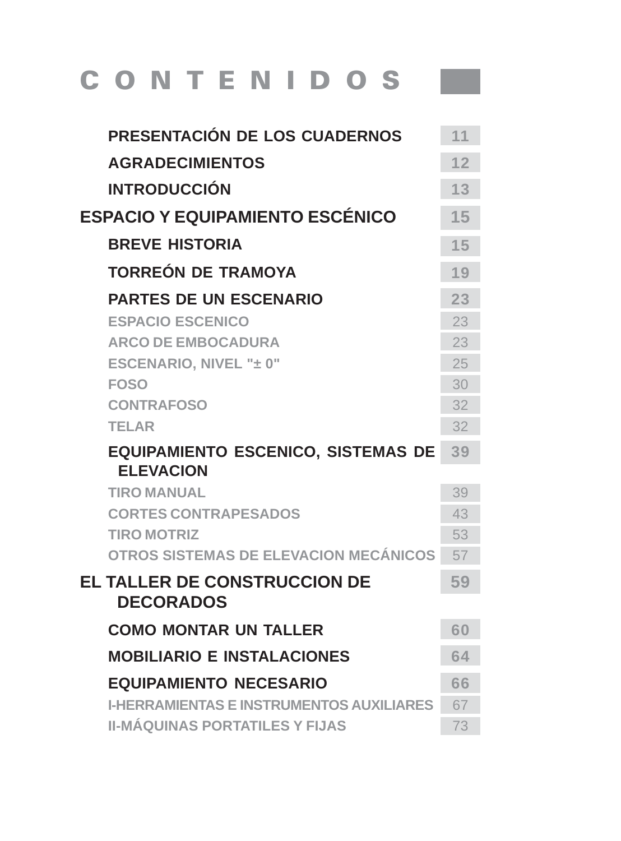## CONTENIDOS<sup>I</sup>

| PRESENTACIÓN DE LOS CUADERNOS                                 | 11 |
|---------------------------------------------------------------|----|
| <b>AGRADECIMIENTOS</b>                                        | 12 |
| <b>INTRODUCCIÓN</b>                                           | 13 |
| <b>ESPACIO Y EQUIPAMIENTO ESCÉNICO</b>                        | 15 |
| <b>BREVE HISTORIA</b>                                         | 15 |
| <b>TORREÓN DE TRAMOYA</b>                                     | 19 |
| <b>PARTES DE UN ESCENARIO</b>                                 | 23 |
| <b>ESPACIO ESCENICO</b>                                       | 23 |
| <b>ARCO DE EMBOCADURA</b>                                     | 23 |
| ESCENARIO, NIVEL "± 0"                                        | 25 |
| <b>FOSO</b>                                                   | 30 |
| <b>CONTRAFOSO</b>                                             | 32 |
| <b>TELAR</b>                                                  | 32 |
| <b>EQUIPAMIENTO ESCENICO, SISTEMAS DE</b><br><b>ELEVACION</b> | 39 |
| <b>TIRO MANUAL</b>                                            | 39 |
| <b>CORTES CONTRAPESADOS</b>                                   | 43 |
| <b>TIRO MOTRIZ</b>                                            | 53 |
| OTROS SISTEMAS DE ELEVACION MECÁNICOS                         | 57 |
| <b>EL TALLER DE CONSTRUCCION DE</b><br><b>DECORADOS</b>       | 59 |
| <b>COMO MONTAR UN TALLER</b>                                  | 60 |
| <b>MOBILIARIO E INSTALACIONES</b>                             | 64 |
| <b>EQUIPAMIENTO NECESARIO</b>                                 | 66 |
| <b>I-HERRAMIENTAS E INSTRUMENTOS AUXILIARES</b>               | 67 |
| <b>II-MÁQUINAS PORTATILES Y FIJAS</b>                         | 73 |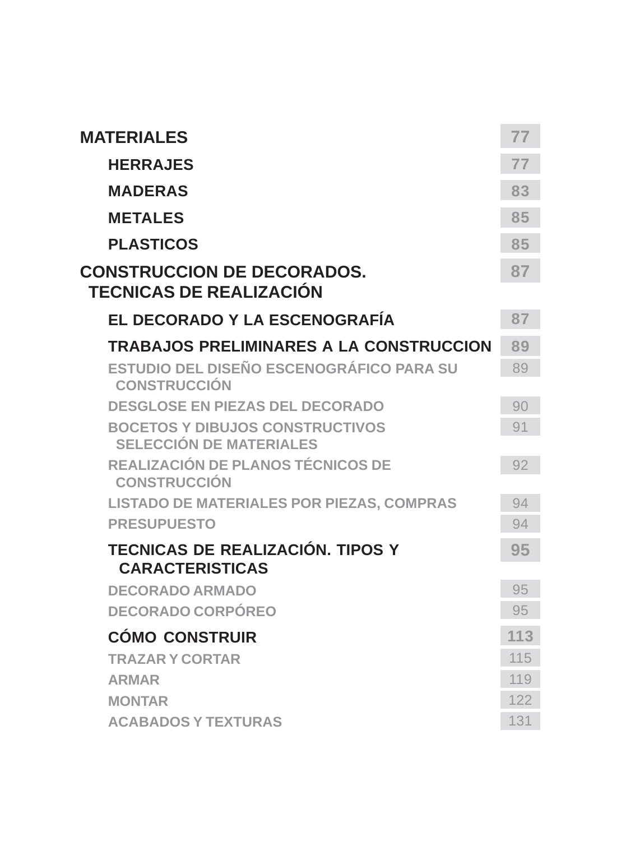| <b>MATERIALES</b>                                                        | 77  |
|--------------------------------------------------------------------------|-----|
| <b>HERRAJES</b>                                                          | 77  |
| <b>MADERAS</b>                                                           | 83  |
| <b>METALES</b>                                                           | 85  |
| <b>PLASTICOS</b>                                                         | 85  |
| <b>CONSTRUCCION DE DECORADOS.</b><br><b>TECNICAS DE REALIZACIÓN</b>      | 87  |
| EL DECORADO Y LA ESCENOGRAFÍA                                            | 87  |
| <b>TRABAJOS PRELIMINARES A LA CONSTRUCCION</b>                           | 89  |
| ESTUDIO DEL DISEÑO ESCENOGRÁFICO PARA SU<br><b>CONSTRUCCIÓN</b>          | 89  |
| <b>DESGLOSE EN PIEZAS DEL DECORADO</b>                                   | 90  |
| <b>BOCETOS Y DIBUJOS CONSTRUCTIVOS</b><br><b>SELECCIÓN DE MATERIALES</b> | 91  |
| <b>REALIZACIÓN DE PLANOS TÉCNICOS DE</b><br><b>CONSTRUCCIÓN</b>          | 92  |
| <b>LISTADO DE MATERIALES POR PIEZAS, COMPRAS</b>                         | 94  |
| <b>PRESUPUESTO</b>                                                       | 94  |
| TECNICAS DE REALIZACIÓN. TIPOS Y<br><b>CARACTERISTICAS</b>               | 95  |
| <b>DECORADO ARMADO</b>                                                   | 95  |
| <b>DECORADO CORPÓREO</b>                                                 | 95  |
| <b>CÓMO CONSTRUIR</b>                                                    | 113 |
| <b>TRAZAR Y CORTAR</b>                                                   | 115 |
| <b>ARMAR</b>                                                             | 119 |
| <b>MONTAR</b>                                                            | 122 |
| <b>ACABADOS Y TEXTURAS</b>                                               | 131 |